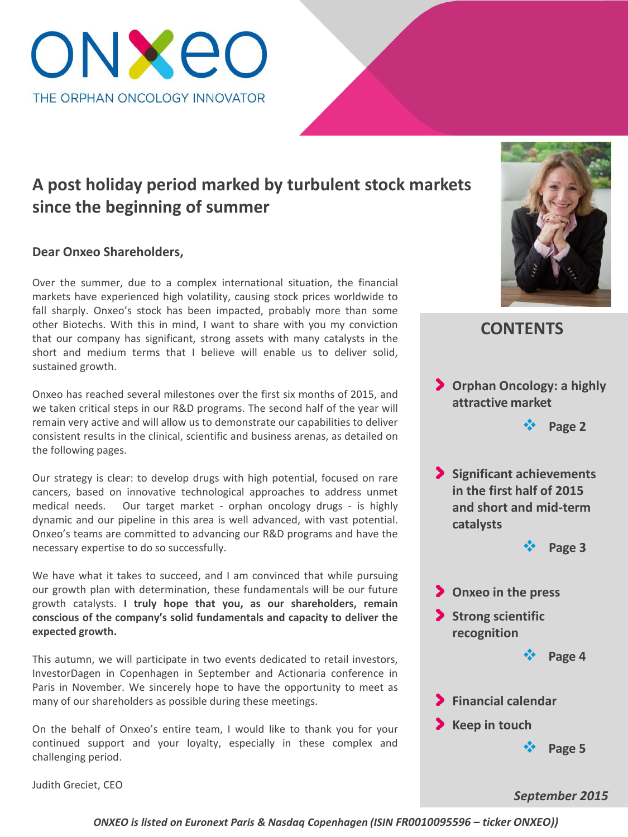

## **A post holiday period marked by turbulent stock markets since the beginning of summer**

### **Dear Onxeo Shareholders,**

Over the summer, due to a complex international situation, the financial markets have experienced high volatility, causing stock prices worldwide to fall sharply. Onxeo's stock has been impacted, probably more than some other Biotechs. With this in mind, I want to share with you my conviction that our company has significant, strong assets with many catalysts in the short and medium terms that I believe will enable us to deliver solid, sustained growth.

Onxeo has reached several milestones over the first six months of 2015, and we taken critical steps in our R&D programs. The second half of the year will remain very active and will allow us to demonstrate our capabilities to deliver consistent results in the clinical, scientific and business arenas, as detailed on the following pages.

Our strategy is clear: to develop drugs with high potential, focused on rare cancers, based on innovative technological approaches to address unmet medical needs. Our target market - orphan oncology drugs - is highly dynamic and our pipeline in this area is well advanced, with vast potential. Onxeo's teams are committed to advancing our R&D programs and have the necessary expertise to do so successfully.

We have what it takes to succeed, and I am convinced that while pursuing our growth plan with determination, these fundamentals will be our future growth catalysts. **I truly hope that you, as our shareholders, remain conscious of the company's solid fundamentals and capacity to deliver the expected growth.**

This autumn, we will participate in two events dedicated to retail investors, InvestorDagen in Copenhagen in September and Actionaria conference in Paris in November. We sincerely hope to have the opportunity to meet as many of our shareholders as possible during these meetings.

On the behalf of Onxeo's entire team, I would like to thank you for your continued support and your loyalty, especially in these complex and challenging period.

Judith Greciet, CEO



## **CONTENTS**

**Orphan Oncology: a highly attractive market**

**Page 2**

**Significant achievements in the first half of 2015 and short and mid-term catalysts**





*September 2015*

*ONXEO is listed on Euronext Paris & Nasdaq Copenhagen (ISIN FR0010095596 – ticker ONXEO))*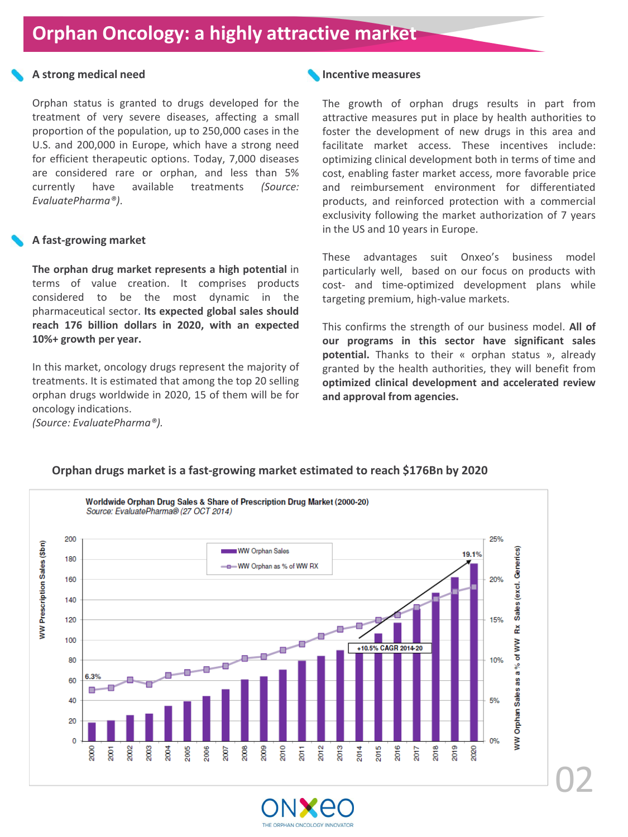# **Orphan Oncology: a highly attractive market**

### **A strong medical need**

Orphan status is granted to drugs developed for the treatment of very severe diseases, affecting a small proportion of the population, up to 250,000 cases in the U.S. and 200,000 in Europe, which have a strong need for efficient therapeutic options. Today, 7,000 diseases are considered rare or orphan, and less than 5% currently have available treatments *(Source: EvaluatePharma®)*.

### **A fast-growing market**

**The orphan drug market represents a high potential** in terms of value creation. It comprises products considered to be the most dynamic in the pharmaceutical sector. **Its expected global sales should reach 176 billion dollars in 2020, with an expected 10%+ growth per year.**

In this market, oncology drugs represent the majority of treatments. It is estimated that among the top 20 selling orphan drugs worldwide in 2020, 15 of them will be for oncology indications.

*(Source: EvaluatePharma®).*

### **Incentive measures**

The growth of orphan drugs results in part from attractive measures put in place by health authorities to foster the development of new drugs in this area and facilitate market access. These incentives include: optimizing clinical development both in terms of time and cost, enabling faster market access, more favorable price and reimbursement environment for differentiated products, and reinforced protection with a commercial exclusivity following the market authorization of 7 years in the US and 10 years in Europe.

These advantages suit Onxeo's business model particularly well, based on our focus on products with cost- and time-optimized development plans while targeting premium, high-value markets.

This confirms the strength of our business model. **All of our programs in this sector have significant sales potential.** Thanks to their « orphan status », already granted by the health authorities, they will benefit from **optimized clinical development and accelerated review and approval from agencies.**



### **Orphan drugs market is a fast-growing market estimated to reach \$176Bn by 2020**

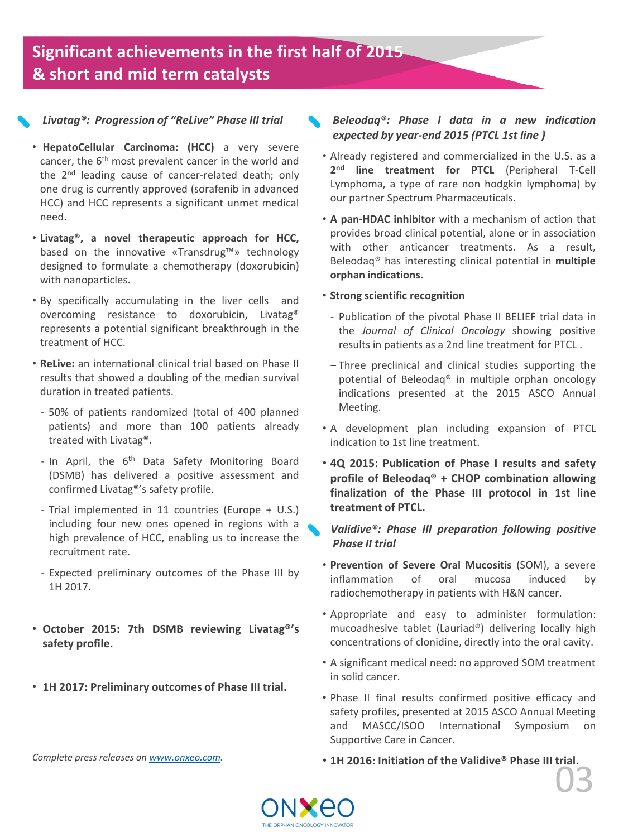# **Significant achievements in the first half of 2015 & short and mid term catalysts**

### *Livatag®: Progression of "ReLive" Phase III trial*

- **HepatoCellular Carcinoma: (HCC)** a very severe cancer, the 6<sup>th</sup> most prevalent cancer in the world and the 2<sup>nd</sup> leading cause of cancer-related death; only one drug is currently approved (sorafenib in advanced HCC) and HCC represents a significant unmet medical need.
- **Livatag®, a novel therapeutic approach for HCC,** based on the innovative «Transdrug™» technology designed to formulate a chemotherapy (doxorubicin) with nanoparticles.
- By specifically accumulating in the liver cells and overcoming resistance to doxorubicin, Livatag® represents a potential significant breakthrough in the treatment of HCC.
- **ReLive:** an international clinical trial based on Phase II results that showed a doubling of the median survival duration in treated patients.
	- ‐ 50% of patients randomized (total of 400 planned patients) and more than 100 patients already treated with Livatag®.
	- In April, the 6<sup>th</sup> Data Safety Monitoring Board (DSMB) has delivered a positive assessment and confirmed Livatag®'s safety profile.
	- ‐ Trial implemented in 11 countries (Europe + U.S.) including four new ones opened in regions with a high prevalence of HCC, enabling us to increase the recruitment rate.
	- ‐ Expected preliminary outcomes of the Phase III by 1H 2017.
- **October 2015: 7th DSMB reviewing Livatag®'s safety profile.**
- **1H 2017: Preliminary outcomes of Phase III trial.**

#### *Complete press releases on [www.onxeo.com.](http://www.onxeo.com/)*

### *Beleodaq®: Phase I data in a new indication expected by year-end 2015 (PTCL 1st line )*

- Already registered and commercialized in the U.S. as a **2 nd line treatment for PTCL** (Peripheral T-Cell Lymphoma, a type of rare non hodgkin lymphoma) by our partner Spectrum Pharmaceuticals.
- **A pan-HDAC inhibitor** with a mechanism of action that provides broad clinical potential, alone or in association with other anticancer treatments. As a result, Beleodaq® has interesting clinical potential in **multiple orphan indications.**

### • **Strong scientific recognition**

- ‐ Publication of the pivotal Phase II BELIEF trial data in the *Journal of Clinical Oncology* showing positive results in patients as a 2nd line treatment for PTCL .
- ‒ Three preclinical and clinical studies supporting the potential of Beleodaq® in multiple orphan oncology indications presented at the 2015 ASCO Annual Meeting.
- A development plan including expansion of PTCL indication to 1st line treatment.
- **4Q 2015: Publication of Phase I results and safety profile of Beleodaq® + CHOP combination allowing finalization of the Phase III protocol in 1st line treatment of PTCL.**

### *Validive®: Phase III preparation following positive Phase II trial*

- **Prevention of Severe Oral Mucositis** (SOM), a severe inflammation of oral mucosa induced by radiochemotherapy in patients with H&N cancer.
- Appropriate and easy to administer formulation: mucoadhesive tablet (Lauriad®) delivering locally high concentrations of clonidine, directly into the oral cavity.
- A significant medical need: no approved SOM treatment in solid cancer.
- Phase II final results confirmed positive efficacy and safety profiles, presented at 2015 ASCO Annual Meeting and MASCC/ISOO International Symposium on Supportive Care in Cancer.
- 03 • **1H 2016: Initiation of the Validive® Phase III trial.**

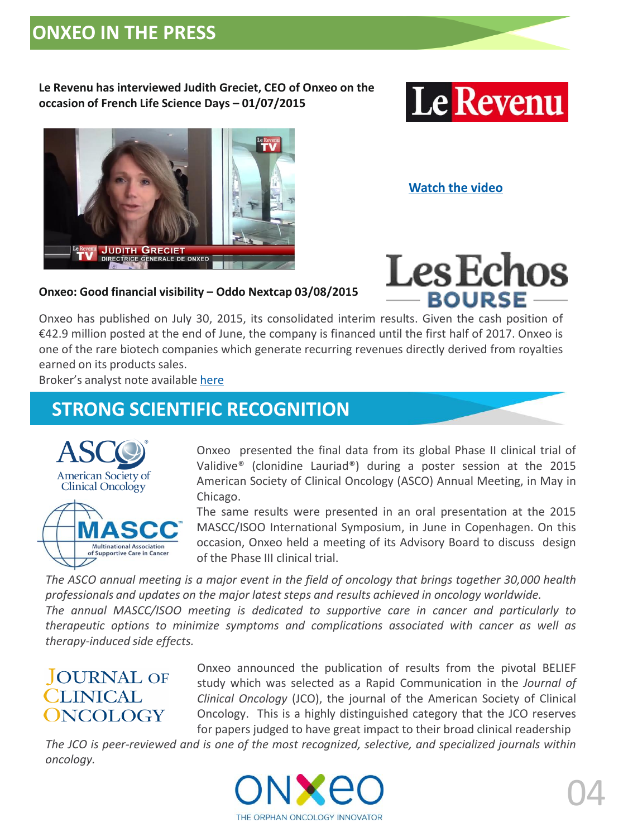# **ONXEO IN THE PRESS**

**Le Revenu has interviewed Judith Greciet, CEO of Onxeo on the occasion of French Life Science Days – 01/07/2015** 





**[Watch the video](http://www.lerevenu.com/le-revenu-tv/la-parole-aux-dirigeants-de-societes/onxeo-beneficie-dun-pipeline-diversifie)**

**Les Echos** 

- BOURSE -

## **Onxeo: Good financial visibility – Oddo Nextcap 03/08/2015**

Onxeo has published on July 30, 2015, its consolidated interim results. Given the cash position of €42.9 million posted at the end of June, the company is financed until the first half of 2017. Onxeo is one of the rare biotech companies which generate recurring revenues directly derived from royalties earned on its products sales.

Broker's analyst note available [here](http://bourse.lesechos.fr/valeurs-moyennes/valeurs-du-jour/flashs-analystes/resultats-s1-2015-bonne-visibilite-financiere-oddo-nextcap-1072513.php)

# **STRONG SCIENTIFIC RECOGNITION**



Onxeo presented the final data from its global Phase II clinical trial of Validive® (clonidine Lauriad®) during a poster session at the 2015 American Society of Clinical Oncology (ASCO) Annual Meeting, in May in Chicago.

The same results were presented in an oral presentation at the 2015 MASCC/ISOO International Symposium, in June in Copenhagen. On this occasion, Onxeo held a meeting of its Advisory Board to discuss design of the Phase III clinical trial.

The ASCO annual meeting is a major event in the field of oncology that brings together 30,000 health *professionals and updates on the major latest steps and results achieved in oncology worldwide.*

*The annual MASCC/ISOO meeting is dedicated to supportive care in cancer and particularly to therapeutic options to minimize symptoms and complications associated with cancer as well as therapy-induced side effects.*

## **JOURNAL OF CLINICAL ONCOLOGY**

Onxeo announced the publication of results from the pivotal BELIEF study which was selected as a Rapid Communication in the *Journal of Clinical Oncology* (JCO), the journal of the American Society of Clinical Oncology. This is a highly distinguished category that the JCO reserves for papers judged to have great impact to their broad clinical readership

*The JCO is peer-reviewed and is one of the most recognized, selective, and specialized journals within oncology.*